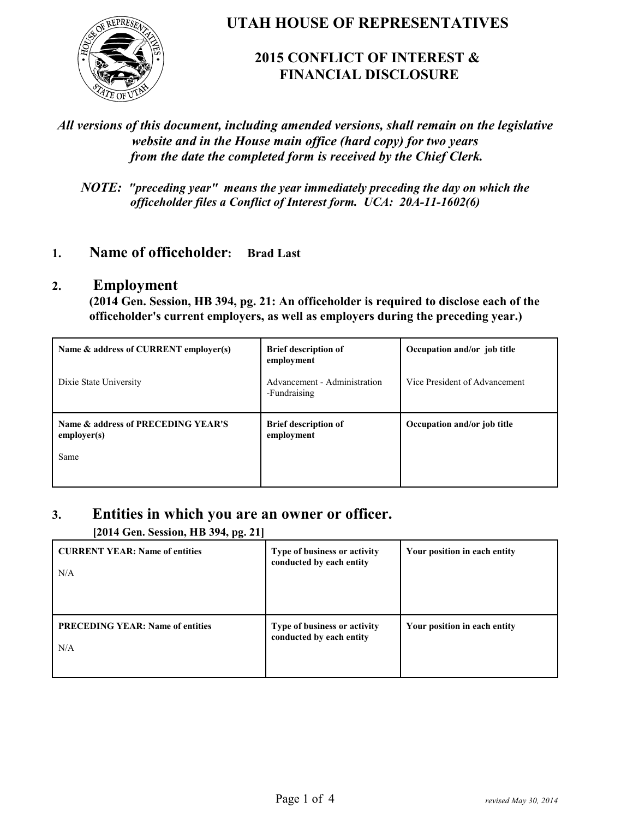

### **UTAH HOUSE OF REPRESENTATIVES**

## **2015 CONFLICT OF INTEREST & FINANCIAL DISCLOSURE**

#### *All versions of this document, including amended versions, shall remain on the legislative website and in the House main office (hard copy) for two years from the date the completed form is received by the Chief Clerk.*

*NOTE: "preceding year" means the year immediately preceding the day on which the officeholder files a Conflict of Interest form. UCA: 20A-11-1602(6)*

## **1. Name of officeholder: Brad Last**

#### **2. Employment**

**(2014 Gen. Session, HB 394, pg. 21: An officeholder is required to disclose each of the officeholder's current employers, as well as employers during the preceding year.)**

| Name & address of CURRENT employer(s)                     | <b>Brief description of</b><br>employment    | Occupation and/or job title   |
|-----------------------------------------------------------|----------------------------------------------|-------------------------------|
| Dixie State University                                    | Advancement - Administration<br>-Fundraising | Vice President of Advancement |
| Name & address of PRECEDING YEAR'S<br>emplayer(s)<br>Same | <b>Brief description of</b><br>employment    | Occupation and/or job title   |

#### **3. Entities in which you are an owner or officer.**

**[2014 Gen. Session, HB 394, pg. 21]**

| <b>CURRENT YEAR: Name of entities</b><br>N/A   | Type of business or activity<br>conducted by each entity | Your position in each entity |
|------------------------------------------------|----------------------------------------------------------|------------------------------|
| <b>PRECEDING YEAR: Name of entities</b><br>N/A | Type of business or activity<br>conducted by each entity | Your position in each entity |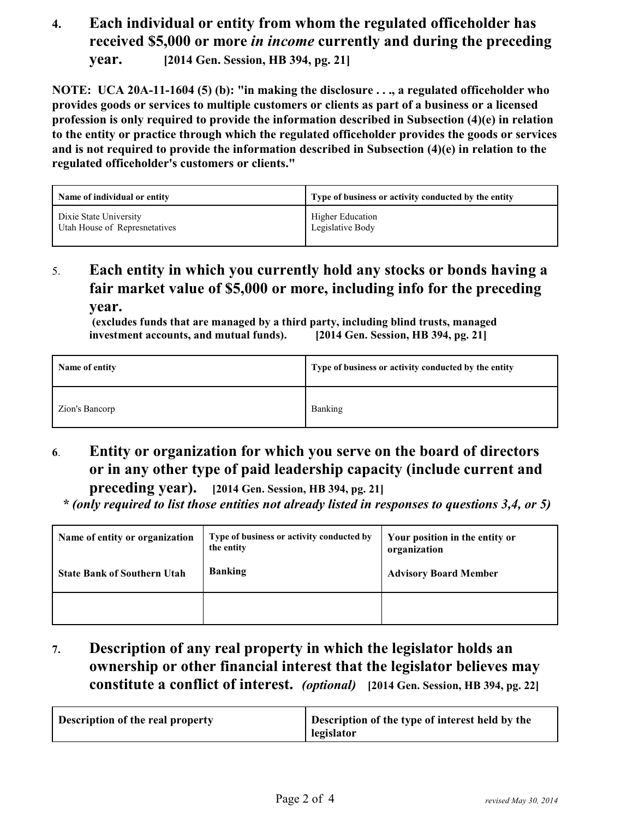## **4. Each individual or entity from whom the regulated officeholder has received \$5,000 or more** *in income* **currently and during the preceding year. [2014 Gen. Session, HB 394, pg. 21]**

**NOTE: UCA 20A-11-1604 (5) (b): "in making the disclosure . . ., a regulated officeholder who provides goods or services to multiple customers or clients as part of a business or a licensed profession is only required to provide the information described in Subsection (4)(e) in relation to the entity or practice through which the regulated officeholder provides the goods or services and is not required to provide the information described in Subsection (4)(e) in relation to the regulated officeholder's customers or clients."**

| Name of individual or entity  | Type of business or activity conducted by the entity |
|-------------------------------|------------------------------------------------------|
| Dixie State University        | Higher Education                                     |
| Utah House of Represnetatives | Legislative Body                                     |

## 5. **Each entity in which you currently hold any stocks or bonds having a fair market value of \$5,000 or more, including info for the preceding year.**

 **(excludes funds that are managed by a third party, including blind trusts, managed investment accounts, and mutual funds). [2014 Gen. Session, HB 394, pg. 21]**

| Name of entity | Type of business or activity conducted by the entity |
|----------------|------------------------------------------------------|
| Zion's Bancorp | Banking                                              |

# **6**. **Entity or organization for which you serve on the board of directors or in any other type of paid leadership capacity (include current and**

**preceding year). [2014 Gen. Session, HB 394, pg. 21]**

 *\* (only required to list those entities not already listed in responses to questions 3,4, or 5)*

| Name of entity or organization<br><b>State Bank of Southern Utah</b> | Type of business or activity conducted by<br>the entity<br><b>Banking</b> | Your position in the entity or<br>organization<br><b>Advisory Board Member</b> |
|----------------------------------------------------------------------|---------------------------------------------------------------------------|--------------------------------------------------------------------------------|
|                                                                      |                                                                           |                                                                                |

## **7. Description of any real property in which the legislator holds an ownership or other financial interest that the legislator believes may constitute a conflict of interest.** *(optional)* **[2014 Gen. Session, HB 394, pg. 22]**

| Description of the type of interest held by the<br>Description of the real property<br>legislator |  |  |
|---------------------------------------------------------------------------------------------------|--|--|
|---------------------------------------------------------------------------------------------------|--|--|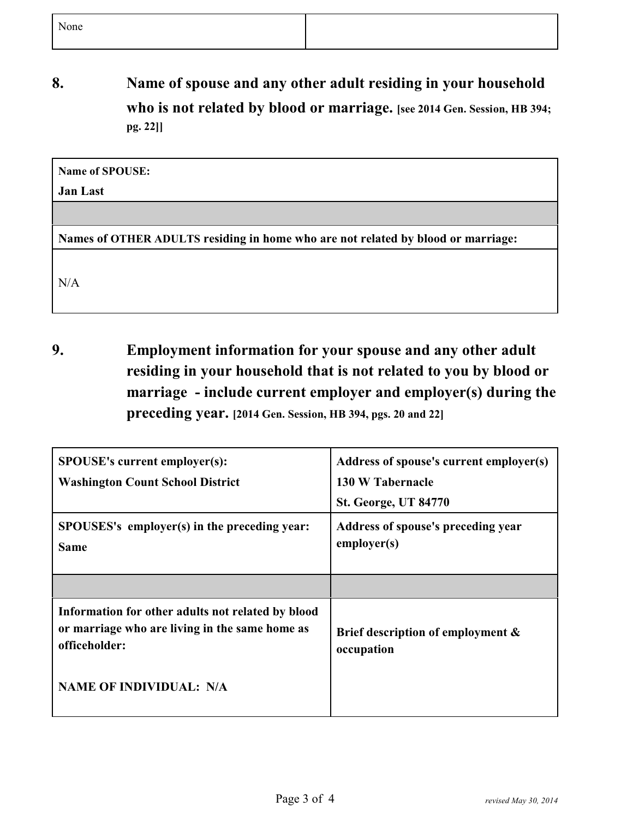**8. Name of spouse and any other adult residing in your household who is not related by blood or marriage. [see 2014 Gen. Session, HB 394; pg. 22]]**

| Name of SPOUSE: |  |
|-----------------|--|
|                 |  |

#### **Jan Last**

**Names of OTHER ADULTS residing in home who are not related by blood or marriage:**

N/A

**9. Employment information for your spouse and any other adult residing in your household that is not related to you by blood or marriage - include current employer and employer(s) during the preceding year. [2014 Gen. Session, HB 394, pgs. 20 and 22]**

| <b>SPOUSE's current employer(s):</b><br><b>Washington Count School District</b>                                      | Address of spouse's current employer(s)<br>130 W Tabernacle<br><b>St. George, UT 84770</b> |
|----------------------------------------------------------------------------------------------------------------------|--------------------------------------------------------------------------------------------|
| SPOUSES's employer(s) in the preceding year:<br><b>Same</b>                                                          | Address of spouse's preceding year<br>emplayer(s)                                          |
|                                                                                                                      |                                                                                            |
| Information for other adults not related by blood<br>or marriage who are living in the same home as<br>officeholder: | Brief description of employment &<br>occupation                                            |
| <b>NAME OF INDIVIDUAL: N/A</b>                                                                                       |                                                                                            |